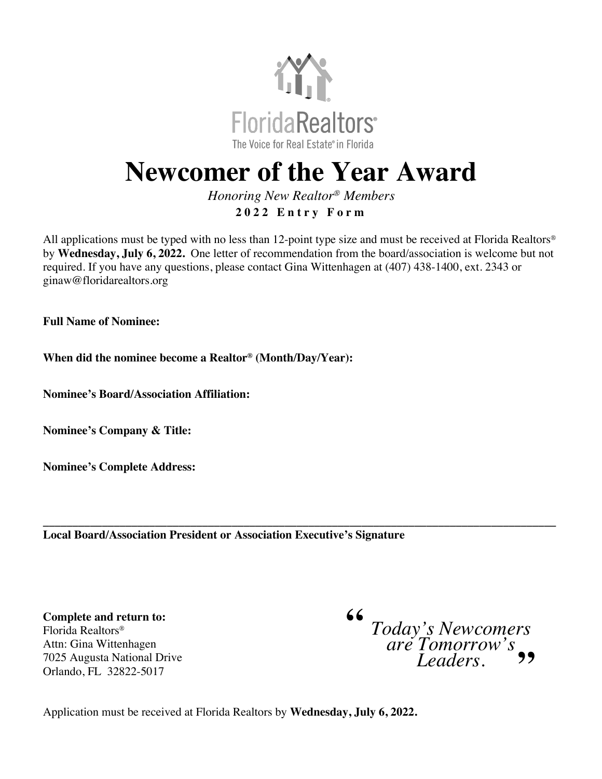

## **Newcomer of the Year Award**

*Honoring New Realtor® Members* **2 0 2 2 Entry Form**

All applications must be typed with no less than 12-point type size and must be received at Florida Realtors® by **Wednesday, July 6, 2022.** One letter of recommendation from the board/association is welcome but not required. If you have any questions, please contact Gina Wittenhagen at (407) 438-1400, ext. 2343 or ginaw@floridarealtors.org

**Full Name of Nominee:** 

**When did the nominee become a Realtor® (Month/Day/Year):** 

**Nominee's Board/Association Affiliation:**

**Nominee's Company & Title:** 

**Nominee's Complete Address:**

**\_\_\_\_\_\_\_\_\_\_\_\_\_\_\_\_\_\_\_\_\_\_\_\_\_\_\_\_\_\_\_\_\_\_\_\_\_\_\_\_\_\_\_\_\_\_\_\_\_\_\_\_\_\_\_\_\_\_\_\_\_\_\_\_\_\_\_\_\_\_\_\_\_\_\_\_\_\_\_\_\_\_\_\_\_\_\_ Local Board/Association President or Association Executive's Signature**

**Complete and return to:**  Florida Realtors® Attn: Gina Wittenhagen 7025 Augusta National Drive Orlando, FL 32822-5017

*Today's Newcomers are Tomorrow's Leaders.* **""**

Application must be received at Florida Realtors by **Wednesday, July 6, 2022.**